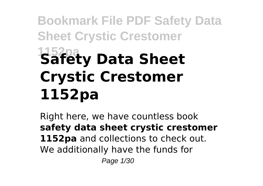# **Bookmark File PDF Safety Data Sheet Crystic Crestomer 1152pa Safety Data Sheet Crystic Crestomer 1152pa**

Right here, we have countless book **safety data sheet crystic crestomer** 1152pa and collections to check out. We additionally have the funds for Page 1/30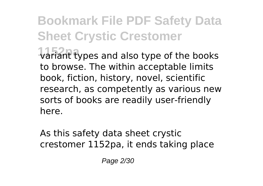## **Bookmark File PDF Safety Data Sheet Crystic Crestomer 1152pa** variant types and also type of the books

to browse. The within acceptable limits book, fiction, history, novel, scientific research, as competently as various new sorts of books are readily user-friendly here.

As this safety data sheet crystic crestomer 1152pa, it ends taking place

Page 2/30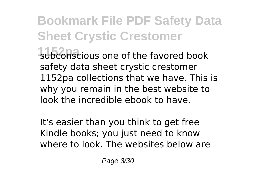### **Bookmark File PDF Safety Data Sheet Crystic Crestomer 1152pa** subconscious one of the favored book safety data sheet crystic crestomer 1152pa collections that we have. This is why you remain in the best website to

look the incredible ebook to have.

It's easier than you think to get free Kindle books; you just need to know where to look. The websites below are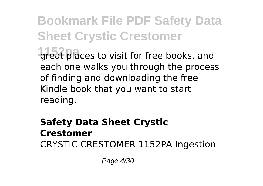**Bookmark File PDF Safety Data Sheet Crystic Crestomer 1152** areat places to visit for free books, and each one walks you through the process of finding and downloading the free Kindle book that you want to start

reading.

#### **Safety Data Sheet Crystic Crestomer** CRYSTIC CRESTOMER 1152PA Ingestion

Page 4/30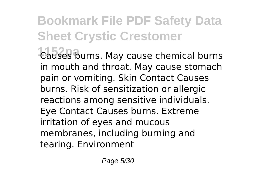**1152pa** Causes burns. May cause chemical burns in mouth and throat. May cause stomach pain or vomiting. Skin Contact Causes burns. Risk of sensitization or allergic reactions among sensitive individuals. Eye Contact Causes burns. Extreme irritation of eyes and mucous membranes, including burning and tearing. Environment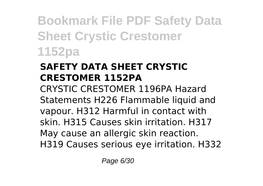#### **SAFETY DATA SHEET CRYSTIC CRESTOMER 1152PA**

CRYSTIC CRESTOMER 1196PA Hazard Statements H226 Flammable liquid and vapour. H312 Harmful in contact with skin. H315 Causes skin irritation. H317 May cause an allergic skin reaction. H319 Causes serious eye irritation. H332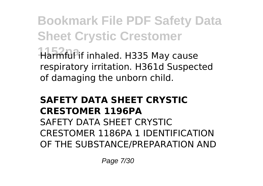**Bookmark File PDF Safety Data Sheet Crystic Crestomer 1152pa** Harmful if inhaled. H335 May cause respiratory irritation. H361d Suspected of damaging the unborn child.

#### **SAFETY DATA SHEET CRYSTIC CRESTOMER 1196PA**

SAFETY DATA SHEET CRYSTIC CRESTOMER 1186PA 1 IDENTIFICATION OF THE SUBSTANCE/PREPARATION AND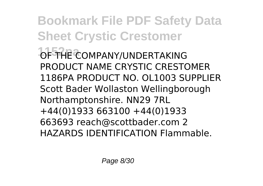**Bookmark File PDF Safety Data Sheet Crystic Crestomer** *<b>DF THE COMPANY/UNDERTAKING* PRODUCT NAME CRYSTIC CRESTOMER 1186PA PRODUCT NO. OL1003 SUPPLIER Scott Bader Wollaston Wellingborough Northamptonshire. NN29 7RL +44(0)1933 663100 +44(0)1933 663693 reach@scottbader.com 2 HAZARDS IDENTIFICATION Flammable.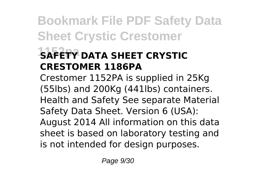### **15AFETY DATA SHEET CRYSTIC CRESTOMER 1186PA**

Crestomer 1152PA is supplied in 25Kg (55lbs) and 200Kg (441lbs) containers. Health and Safety See separate Material Safety Data Sheet. Version 6 (USA): August 2014 All information on this data sheet is based on laboratory testing and is not intended for design purposes.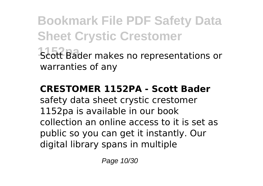**Bookmark File PDF Safety Data Sheet Crystic Crestomer 1152pa** Scott Bader makes no representations or warranties of any

#### **CRESTOMER 1152PA - Scott Bader**

safety data sheet crystic crestomer 1152pa is available in our book collection an online access to it is set as public so you can get it instantly. Our digital library spans in multiple

Page 10/30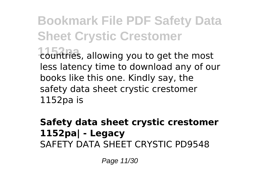**1152pa** countries, allowing you to get the most less latency time to download any of our books like this one. Kindly say, the safety data sheet crystic crestomer 1152pa is

#### **Safety data sheet crystic crestomer 1152pa| - Legacy** SAFETY DATA SHEET CRYSTIC PD9548

Page 11/30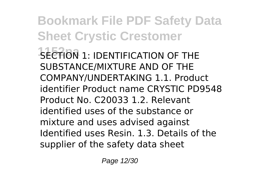**Bookmark File PDF Safety Data Sheet Crystic Crestomer 1252 SECTION 1: IDENTIFICATION OF THE** SUBSTANCE/MIXTURE AND OF THE COMPANY/UNDERTAKING 1.1. Product identifier Product name CRYSTIC PD9548 Product No. C20033 1.2. Relevant identified uses of the substance or mixture and uses advised against Identified uses Resin. 1.3. Details of the supplier of the safety data sheet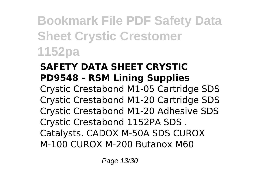#### **SAFETY DATA SHEET CRYSTIC PD9548 - RSM Lining Supplies**

Crystic Crestabond M1-05 Cartridge SDS Crystic Crestabond M1-20 Cartridge SDS Crystic Crestabond M1-20 Adhesive SDS Crystic Crestabond 1152PA SDS . Catalysts. CADOX M-50A SDS CUROX M-100 CUROX M-200 Butanox M60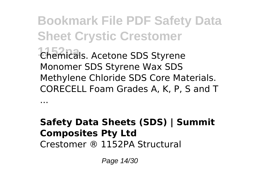**Bookmark File PDF Safety Data Sheet Crystic Crestomer 1152pa** Chemicals. Acetone SDS Styrene Monomer SDS Styrene Wax SDS Methylene Chloride SDS Core Materials. CORECELL Foam Grades A, K, P, S and T

#### **Safety Data Sheets (SDS) | Summit Composites Pty Ltd** Crestomer ® 1152PA Structural

Page 14/30

...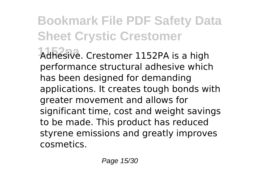**1152pa** Adhesive. Crestomer 1152PA is a high performance structural adhesive which has been designed for demanding applications. It creates tough bonds with greater movement and allows for significant time, cost and weight savings to be made. This product has reduced styrene emissions and greatly improves cosmetics.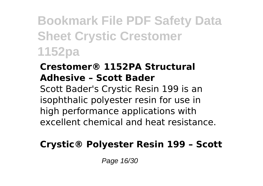#### **Crestomer® 1152PA Structural Adhesive – Scott Bader**

Scott Bader's Crystic Resin 199 is an isophthalic polyester resin for use in high performance applications with excellent chemical and heat resistance.

#### **Crystic® Polyester Resin 199 – Scott**

Page 16/30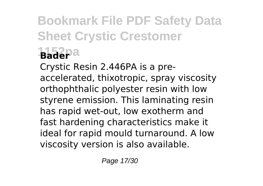## **Bookmark File PDF Safety Data Sheet Crystic Crestomer 1152pa Bader**

Crystic Resin 2.446PA is a preaccelerated, thixotropic, spray viscosity orthophthalic polyester resin with low styrene emission. This laminating resin has rapid wet-out, low exotherm and fast hardening characteristics make it ideal for rapid mould turnaround. A low viscosity version is also available.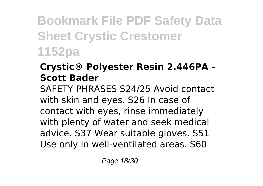#### **Crystic® Polyester Resin 2.446PA – Scott Bader**

SAFETY PHRASES S24/25 Avoid contact with skin and eyes. S26 In case of contact with eyes, rinse immediately with plenty of water and seek medical advice. S37 Wear suitable gloves. S51 Use only in well-ventilated areas. S60

Page 18/30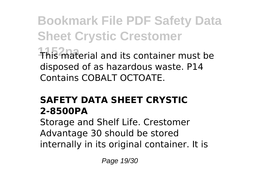**Bookmark File PDF Safety Data Sheet Crystic Crestomer 1152pa** This material and its container must be disposed of as hazardous waste. P14 Contains COBALT OCTOATE.

#### **SAFETY DATA SHEET CRYSTIC 2-8500PA**

Storage and Shelf Life. Crestomer Advantage 30 should be stored internally in its original container. It is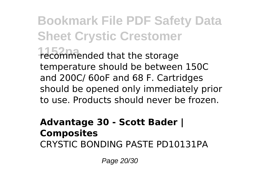### **Bookmark File PDF Safety Data Sheet Crystic Crestomer 1152pa** recommended that the storage temperature should be between 150C and 200C/ 60oF and 68 F. Cartridges should be opened only immediately prior to use. Products should never be frozen.

#### **Advantage 30 - Scott Bader | Composites** CRYSTIC BONDING PASTE PD10131PA

Page 20/30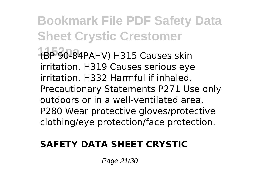**Bookmark File PDF Safety Data Sheet Crystic Crestomer 1152pa** (BP 90-84PAHV) H315 Causes skin irritation. H319 Causes serious eye irritation. H332 Harmful if inhaled. Precautionary Statements P271 Use only outdoors or in a well-ventilated area. P280 Wear protective gloves/protective clothing/eye protection/face protection.

#### **SAFETY DATA SHEET CRYSTIC**

Page 21/30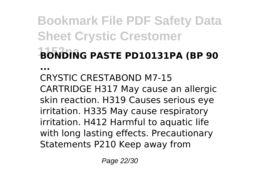## **Bookmark File PDF Safety Data Sheet Crystic Crestomer 1152pa BONDING PASTE PD10131PA (BP 90**

**...**

CRYSTIC CRESTABOND M7-15 CARTRIDGE H317 May cause an allergic skin reaction. H319 Causes serious eye irritation. H335 May cause respiratory irritation. H412 Harmful to aquatic life with long lasting effects. Precautionary Statements P210 Keep away from

Page 22/30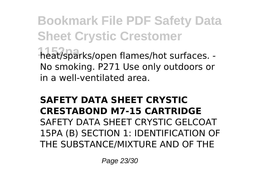**Bookmark File PDF Safety Data Sheet Crystic Crestomer 1152pa** heat/sparks/open flames/hot surfaces. - No smoking. P271 Use only outdoors or in a well-ventilated area.

#### **SAFETY DATA SHEET CRYSTIC CRESTABOND M7-15 CARTRIDGE** SAFETY DATA SHEET CRYSTIC GELCOAT 15PA (B) SECTION 1: IDENTIFICATION OF THE SUBSTANCE/MIXTURE AND OF THE

Page 23/30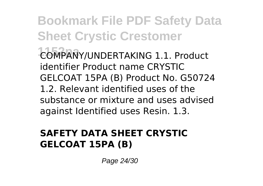**Bookmark File PDF Safety Data Sheet Crystic Crestomer 1152pa** COMPANY/UNDERTAKING 1.1. Product identifier Product name CRYSTIC GELCOAT 15PA (B) Product No. G50724 1.2. Relevant identified uses of the substance or mixture and uses advised against Identified uses Resin. 1.3.

#### **SAFETY DATA SHEET CRYSTIC GELCOAT 15PA (B)**

Page 24/30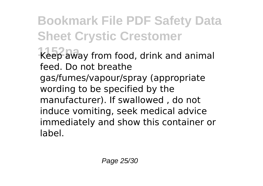**1152pa** Keep away from food, drink and animal feed. Do not breathe

gas/fumes/vapour/spray (appropriate wording to be specified by the manufacturer). If swallowed , do not induce vomiting, seek medical advice immediately and show this container or label.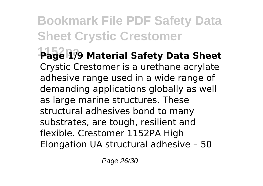**1152pa Page 1/9 Material Safety Data Sheet** Crystic Crestomer is a urethane acrylate adhesive range used in a wide range of demanding applications globally as well as large marine structures. These structural adhesives bond to many substrates, are tough, resilient and flexible. Crestomer 1152PA High Elongation UA structural adhesive – 50

Page 26/30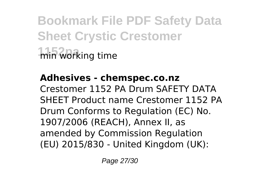**Bookmark File PDF Safety Data Sheet Crystic Crestomer 1152pa** min working time

#### **Adhesives - chemspec.co.nz**

Crestomer 1152 PA Drum SAFETY DATA SHEET Product name Crestomer 1152 PA Drum Conforms to Regulation (EC) No. 1907/2006 (REACH), Annex II, as amended by Commission Regulation (EU) 2015/830 - United Kingdom (UK):

Page 27/30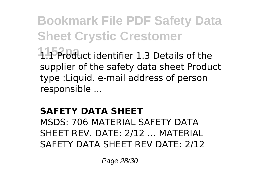**1152pa** 1.1 Product identifier 1.3 Details of the supplier of the safety data sheet Product type :Liquid. e-mail address of person responsible ...

#### **SAFETY DATA SHEET**

MSDS: 706 MATERIAL SAFETY DATA SHEET REV. DATE: 2/12 … MATERIAL SAFETY DATA SHEET REV DATE: 2/12

Page 28/30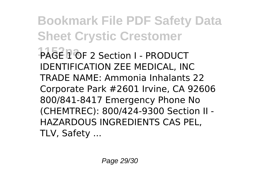**Bookmark File PDF Safety Data Sheet Crystic Crestomer 1152pa** PAGE 1 OF 2 Section I - PRODUCT IDENTIFICATION ZEE MEDICAL, INC TRADE NAME: Ammonia Inhalants 22 Corporate Park #2601 Irvine, CA 92606 800/841-8417 Emergency Phone No (CHEMTREC): 800/424-9300 Section II - HAZARDOUS INGREDIENTS CAS PEL, TLV, Safety ...